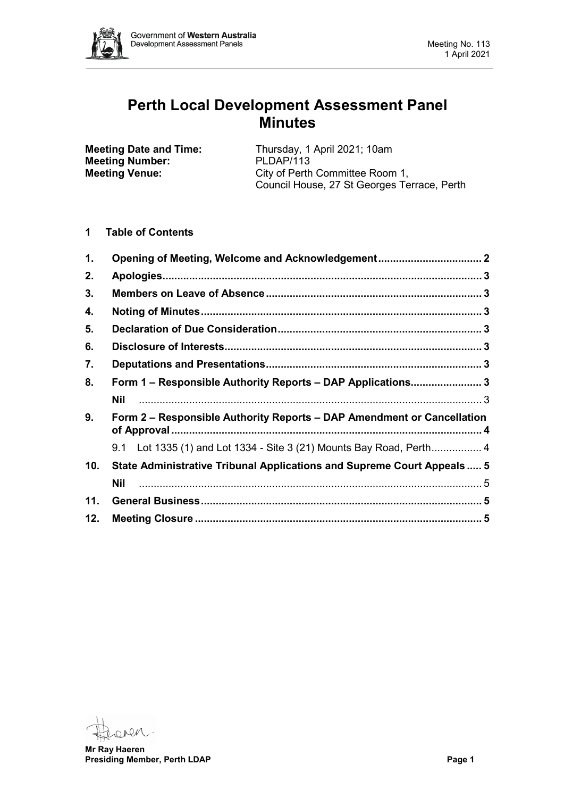

# **Perth Local Development Assessment Panel Minutes**

**Meeting Number:**<br>Meeting Venue:

**Meeting Date and Time:** Thursday, 1 April 2021; 10am<br> **Meeting Number:** PLDAP/113 City of Perth Committee Room 1, Council House, 27 St Georges Terrace, Perth

**1 Table of Contents**

| 1.             |                                                                         |  |
|----------------|-------------------------------------------------------------------------|--|
| 2.             |                                                                         |  |
| 3.             |                                                                         |  |
| 4.             |                                                                         |  |
| 5.             |                                                                         |  |
| 6.             |                                                                         |  |
| 7.             |                                                                         |  |
| 8.             | Form 1 - Responsible Authority Reports - DAP Applications 3             |  |
|                |                                                                         |  |
|                | <b>Nil</b>                                                              |  |
| 9 <sub>1</sub> | Form 2 – Responsible Authority Reports – DAP Amendment or Cancellation  |  |
|                | 9.1 Lot 1335 (1) and Lot 1334 - Site 3 (21) Mounts Bay Road, Perth 4    |  |
| 10.            | State Administrative Tribunal Applications and Supreme Court Appeals  5 |  |
|                | Nil                                                                     |  |
| 11.            |                                                                         |  |

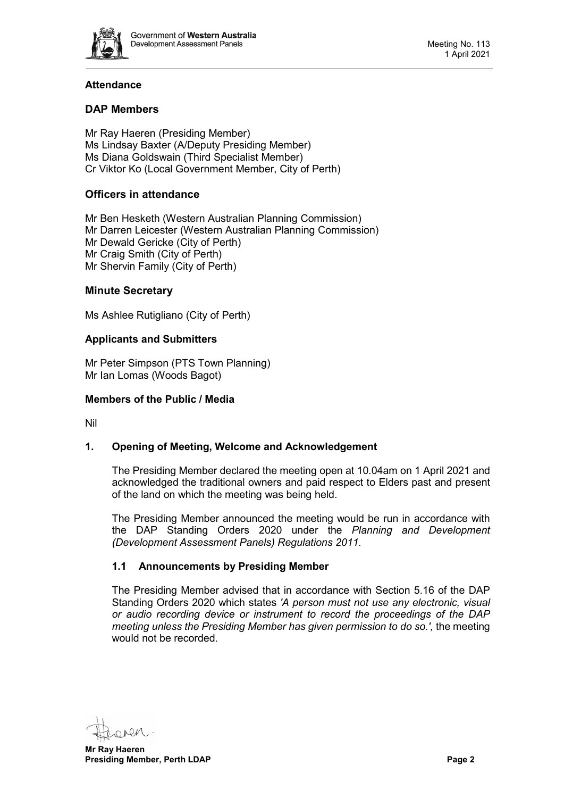

## **Attendance**

# **DAP Members**

Mr Ray Haeren (Presiding Member) Ms Lindsay Baxter (A/Deputy Presiding Member) Ms Diana Goldswain (Third Specialist Member) Cr Viktor Ko (Local Government Member, City of Perth)

# **Officers in attendance**

Mr Ben Hesketh (Western Australian Planning Commission) Mr Darren Leicester (Western Australian Planning Commission) Mr Dewald Gericke (City of Perth) Mr Craig Smith (City of Perth) Mr Shervin Family (City of Perth)

## **Minute Secretary**

Ms Ashlee Rutigliano (City of Perth)

#### **Applicants and Submitters**

Mr Peter Simpson (PTS Town Planning) Mr Ian Lomas (Woods Bagot)

#### **Members of the Public / Media**

<span id="page-1-0"></span>Nil

## **1. Opening of Meeting, Welcome and Acknowledgement**

The Presiding Member declared the meeting open at 10.04am on 1 April 2021 and acknowledged the traditional owners and paid respect to Elders past and present of the land on which the meeting was being held.

The Presiding Member announced the meeting would be run in accordance with the DAP Standing Orders 2020 under the *Planning and Development (Development Assessment Panels) Regulations 2011.*

## **1.1 Announcements by Presiding Member**

The Presiding Member advised that in accordance with Section 5.16 of the DAP Standing Orders 2020 which states *'A person must not use any electronic, visual or audio recording device or instrument to record the proceedings of the DAP meeting unless the Presiding Member has given permission to do so.',* the meeting would not be recorded.

ren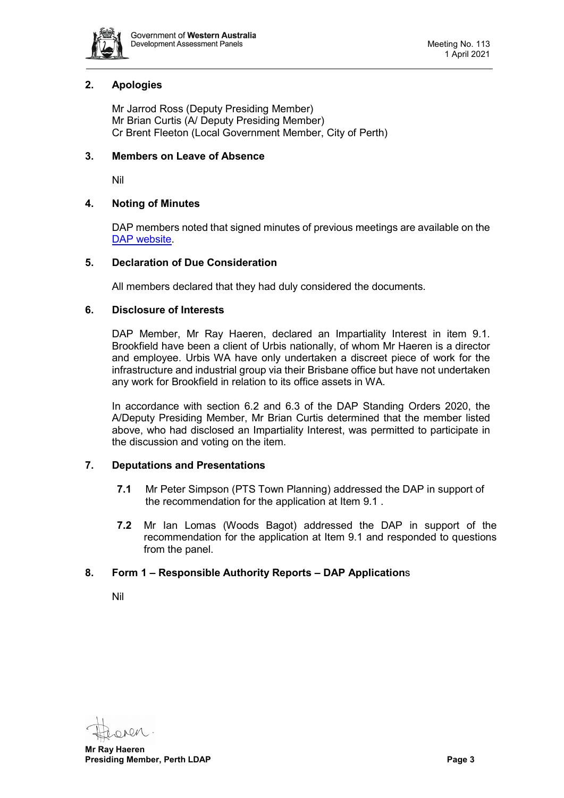

## <span id="page-2-0"></span>**2. Apologies**

Mr Jarrod Ross (Deputy Presiding Member) Mr Brian Curtis (A/ Deputy Presiding Member) Cr Brent Fleeton (Local Government Member, City of Perth)

#### <span id="page-2-1"></span>**3. Members on Leave of Absence**

Nil

#### <span id="page-2-2"></span>**4. Noting of Minutes**

DAP members noted that signed minutes of previous meetings are available on the [DAP website.](https://www.dplh.wa.gov.au/about/development-assessment-panels/daps-agendas-and-minutes)

#### <span id="page-2-3"></span>**5. Declaration of Due Consideration**

All members declared that they had duly considered the documents.

#### <span id="page-2-4"></span>**6. Disclosure of Interests**

DAP Member, Mr Ray Haeren, declared an Impartiality Interest in item 9.1. Brookfield have been a client of Urbis nationally, of whom Mr Haeren is a director and employee. Urbis WA have only undertaken a discreet piece of work for the infrastructure and industrial group via their Brisbane office but have not undertaken any work for Brookfield in relation to its office assets in WA.

In accordance with section 6.2 and 6.3 of the DAP Standing Orders 2020, the A/Deputy Presiding Member, Mr Brian Curtis determined that the member listed above, who had disclosed an Impartiality Interest, was permitted to participate in the discussion and voting on the item.

#### <span id="page-2-5"></span>**7. Deputations and Presentations**

- **7.1** Mr Peter Simpson (PTS Town Planning) addressed the DAP in support of the recommendation for the application at Item 9.1 .
- **7.2** Mr Ian Lomas (Woods Bagot) addressed the DAP in support of the recommendation for the application at Item 9.1 and responded to questions from the panel.

## <span id="page-2-7"></span><span id="page-2-6"></span>**8. Form 1 – Responsible Authority Reports – DAP Application**s

Nil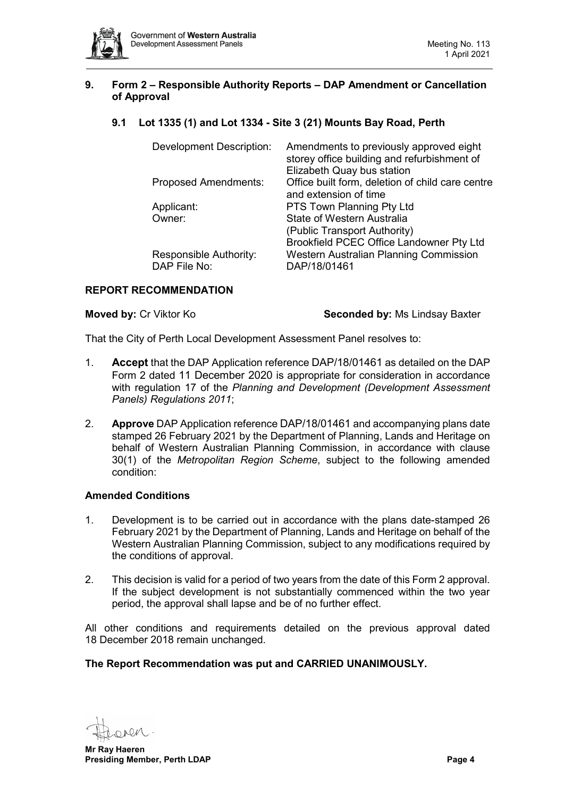

#### <span id="page-3-0"></span>**9. Form 2 – Responsible Authority Reports – DAP Amendment or Cancellation of Approval**

## <span id="page-3-1"></span>**9.1 Lot 1335 (1) and Lot 1334 - Site 3 (21) Mounts Bay Road, Perth**

| <b>Development Description:</b>        | Amendments to previously approved eight<br>storey office building and refurbishment of<br>Elizabeth Quay bus station |
|----------------------------------------|----------------------------------------------------------------------------------------------------------------------|
| <b>Proposed Amendments:</b>            | Office built form, deletion of child care centre                                                                     |
|                                        | and extension of time                                                                                                |
| Applicant:                             | PTS Town Planning Pty Ltd                                                                                            |
| Owner:                                 | <b>State of Western Australia</b>                                                                                    |
|                                        | (Public Transport Authority)                                                                                         |
|                                        | Brookfield PCEC Office Landowner Pty Ltd                                                                             |
| Responsible Authority:<br>DAP File No: | Western Australian Planning Commission<br>DAP/18/01461                                                               |

#### **REPORT RECOMMENDATION**

**Moved by:** Cr Viktor Ko **Seconded by: Ms Lindsay Baxter** 

That the City of Perth Local Development Assessment Panel resolves to:

- 1. **Accept** that the DAP Application reference DAP/18/01461 as detailed on the DAP Form 2 dated 11 December 2020 is appropriate for consideration in accordance with regulation 17 of the *Planning and Development (Development Assessment Panels) Regulations 2011*;
- 2. **Approve** DAP Application reference DAP/18/01461 and accompanying plans date stamped 26 February 2021 by the Department of Planning, Lands and Heritage on behalf of Western Australian Planning Commission, in accordance with clause 30(1) of the *Metropolitan Region Scheme*, subject to the following amended condition:

#### **Amended Conditions**

- 1. Development is to be carried out in accordance with the plans date-stamped 26 February 2021 by the Department of Planning, Lands and Heritage on behalf of the Western Australian Planning Commission, subject to any modifications required by the conditions of approval.
- 2. This decision is valid for a period of two years from the date of this Form 2 approval. If the subject development is not substantially commenced within the two year period, the approval shall lapse and be of no further effect.

All other conditions and requirements detailed on the previous approval dated 18 December 2018 remain unchanged.

#### **The Report Recommendation was put and CARRIED UNANIMOUSLY.**

De